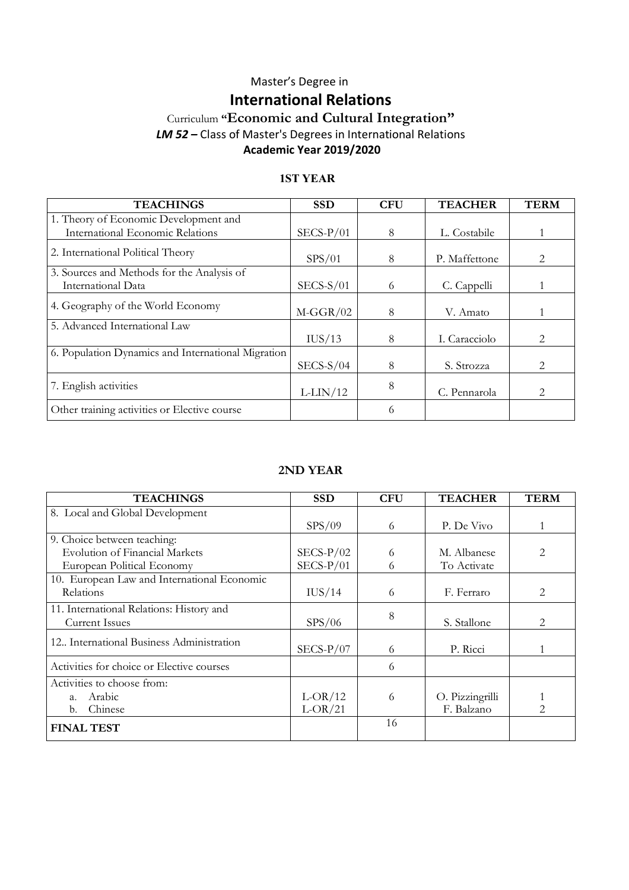### Master's Degree in **International Relations**

### Curriculum **"Economic and Cultural Integration"** *LM 52 –* Class of Master's Degrees in International Relations **Academic Year 2019/2020**

#### **1ST YEAR**

| <b>TEACHINGS</b>                                   | <b>SSD</b>  | <b>CFU</b> | <b>TEACHER</b> | <b>TERM</b>                   |
|----------------------------------------------------|-------------|------------|----------------|-------------------------------|
| 1. Theory of Economic Development and              |             |            |                |                               |
| International Economic Relations                   | $SECS-P/01$ | 8          | L. Costabile   |                               |
| 2. International Political Theory                  | SPS/01      | 8          | P. Maffettone  | 2                             |
| 3. Sources and Methods for the Analysis of         |             |            |                |                               |
| International Data                                 | $SECS-S/01$ | 6          | C. Cappelli    |                               |
| 4. Geography of the World Economy                  | $M-GGR/02$  | 8          | V. Amato       |                               |
| 5. Advanced International Law                      |             |            |                |                               |
|                                                    | IUS/13      | 8          | I. Caracciolo  | 2                             |
| 6. Population Dynamics and International Migration |             |            |                |                               |
|                                                    | $SECS-S/04$ | 8          | S. Strozza     | $\mathfrak{D}_{\mathfrak{p}}$ |
| 7. English activities                              | $L-LIN/12$  | 8          | C. Pennarola   | $\mathcal{D}_{\mathcal{L}}$   |
| Other training activities or Elective course       |             | 6          |                |                               |

#### **2ND YEAR**

| <b>TEACHINGS</b>                            | <b>SSD</b>  | <b>CFU</b> | <b>TEACHER</b>  | <b>TERM</b> |
|---------------------------------------------|-------------|------------|-----------------|-------------|
| 8. Local and Global Development             |             |            |                 |             |
|                                             | SPS/09      | 6          | P. De Vivo      |             |
| 9. Choice between teaching:                 |             |            |                 |             |
| <b>Evolution of Financial Markets</b>       | $SECS-P/02$ | 6          | M. Albanese     |             |
| European Political Economy                  | $SECS-P/01$ | 6          | To Activate     |             |
| 10. European Law and International Economic |             |            |                 |             |
| <b>Relations</b>                            | IUS/14      | 6          | F. Ferraro      | 2           |
| 11. International Relations: History and    |             | 8          |                 |             |
| <b>Current Issues</b>                       | SPS/06      |            | S. Stallone     | 2           |
| 12. International Business Administration   |             |            |                 |             |
|                                             | $SECS-P/07$ | 6          | P. Ricci        |             |
| Activities for choice or Elective courses   |             | 6          |                 |             |
| Activities to choose from:                  |             |            |                 |             |
| Arabic<br>a.                                | $L-OR/12$   | 6          | O. Pizzingrilli |             |
| Chinese<br>$\mathbf{b}$ .                   | $L-OR/21$   |            | F. Balzano      | 2           |
| <b>FINAL TEST</b>                           |             | 16         |                 |             |